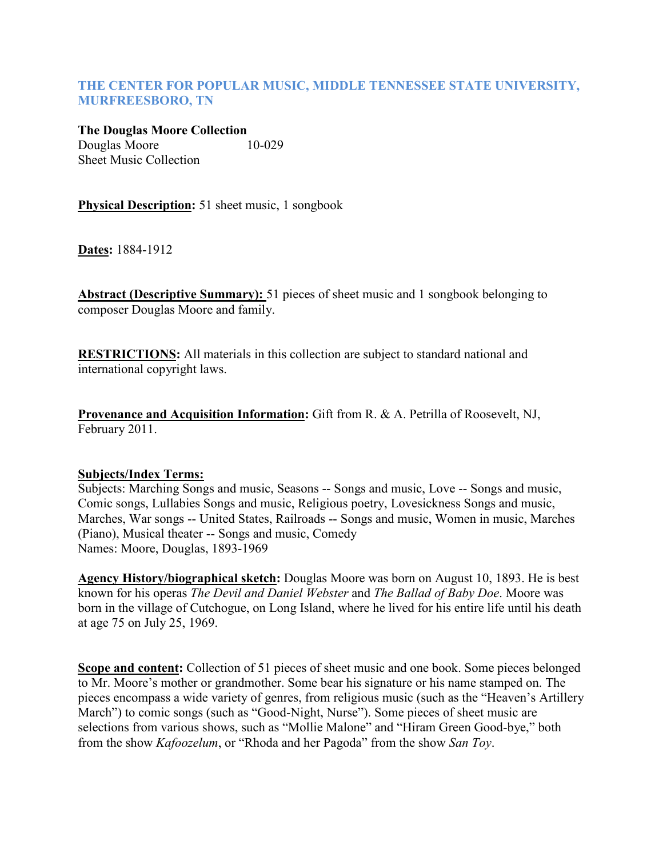## **THE CENTER FOR POPULAR MUSIC, MIDDLE TENNESSEE STATE UNIVERSITY, MURFREESBORO, TN**

**The Douglas Moore Collection** Douglas Moore10-029 Sheet Music Collection

**Physical Description:** 51 sheet music, 1 songbook

**Dates:** 1884-1912

**Abstract (Descriptive Summary):** 51 pieces of sheet music and 1 songbook belonging to composer Douglas Moore and family.

**RESTRICTIONS:** All materials in this collection are subject to standard national and international copyright laws.

**Provenance and Acquisition Information:** Gift from R. & A. Petrilla of Roosevelt, NJ, February 2011.

## **Subjects/Index Terms:**

Subjects: Marching Songs and music, Seasons -- Songs and music, Love -- Songs and music, Comic songs, Lullabies Songs and music, Religious poetry, Lovesickness Songs and music, Marches, War songs -- United States, Railroads -- Songs and music, Women in music, Marches (Piano), Musical theater -- Songs and music, Comedy Names: Moore, Douglas, 1893-1969

**Agency History/biographical sketch:** Douglas Moore was born on August 10, 1893. He is best known for his operas *The Devil and Daniel Webster* and *The Ballad of Baby Doe*. Moore was born in the village of Cutchogue, on Long Island, where he lived for his entire life until his death at age 75 on July 25, 1969.

**Scope and content:** Collection of 51 pieces of sheet music and one book. Some pieces belonged to Mr. Moore's mother or grandmother. Some bear his signature or his name stamped on. The pieces encompass a wide variety of genres, from religious music (such as the "Heaven's Artillery March") to comic songs (such as "Good-Night, Nurse"). Some pieces of sheet music are selections from various shows, such as "Mollie Malone" and "Hiram Green Good-bye," both from the show *Kafoozelum*, or "Rhoda and her Pagoda" from the show *San Toy*.